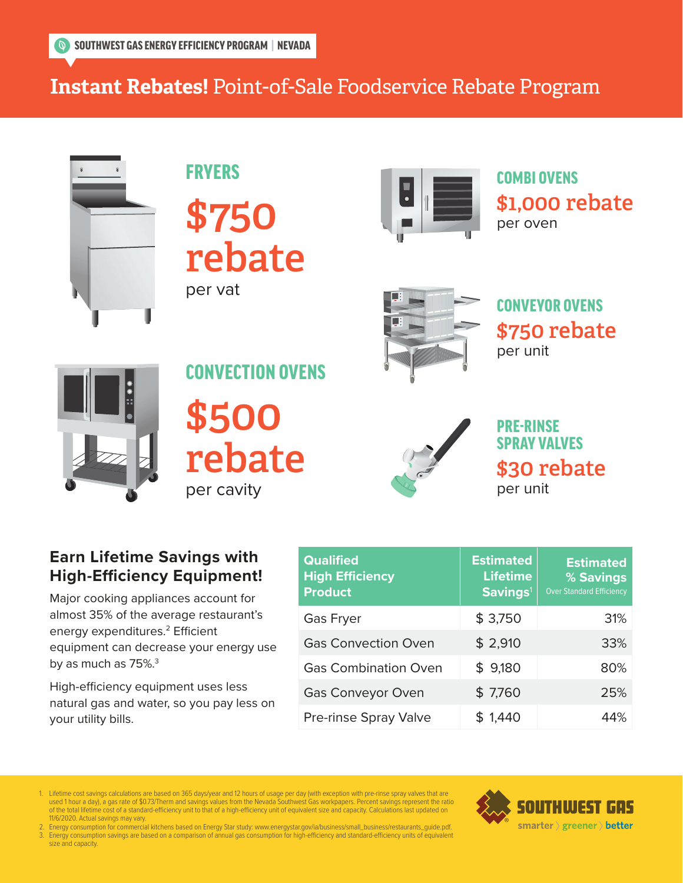# **Instant Rebates!** Point-of-Sale Foodservice Rebate Program



FRYERS \$750 rebate per vat



COMBI OVENS \$1,000 rebate per oven



CONVEYOR OVENS \$750 rebate per unit



CONVECTION OVENS \$500 rebate per cavity



PRE-RINSE SPRAY VALVES \$30 rebate per unit

### **Earn Lifetime Savings with High-Efficiency Equipment!**

Major cooking appliances account for almost 35% of the average restaurant's energy expenditures.<sup>2</sup> Efficient equipment can decrease your energy use by as much as 75%.<sup>3</sup>

High-efficiency equipment uses less natural gas and water, so you pay less on your utility bills.

| <b>Qualified</b><br><b>High Efficiency</b><br><b>Product</b> | <b>Estimated</b><br><b>Lifetime</b><br>Savings <sup>1</sup> | <b>Estimated</b><br>% Savings<br><b>Over Standard Efficiency</b> |
|--------------------------------------------------------------|-------------------------------------------------------------|------------------------------------------------------------------|
| <b>Gas Fryer</b>                                             | \$3,750                                                     | 31%                                                              |
| <b>Gas Convection Oven</b>                                   | \$2,910                                                     | 33%                                                              |
| <b>Gas Combination Oven</b>                                  | \$9,180                                                     | 80%                                                              |
| <b>Gas Conveyor Oven</b>                                     | \$7,760                                                     | 25%                                                              |
| Pre-rinse Spray Valve                                        | \$1,440                                                     | 44%                                                              |

1. Lifetime cost savings calculations are based on 365 days/year and 12 hours of usage per day (with exception with pre-rinse spray valves that are<br>used 1 hour a day), a gas rate of \$0.73/Therm and savings values from the 1. Lifetime cost savings calculations are based on 365 days/year and 12 hours of usage per day (with exception with pre-rinse spray valves that are<br>used 1 hour a day), a gas rate of \$0.73/Therm and savings values from the 11/6/2020. Actual savings may vary.

11/6/2020. Actual savings may vary.<br>2. Energy consumption for commercial kitchens based on Energy Star study: www.energystar.gov/ia/business/small\_business/restaurants\_guide.pdf.<br>3. Energy consumption savings are based on size and capacity. 2. Energy consumption for commercial kitchens based on Energy Star study: www.energystar.gov/ia/business/small\_business/restaurants\_guide.pdf.<br>3. Energy consumption savings are based on a comparison of annual gas consumpt